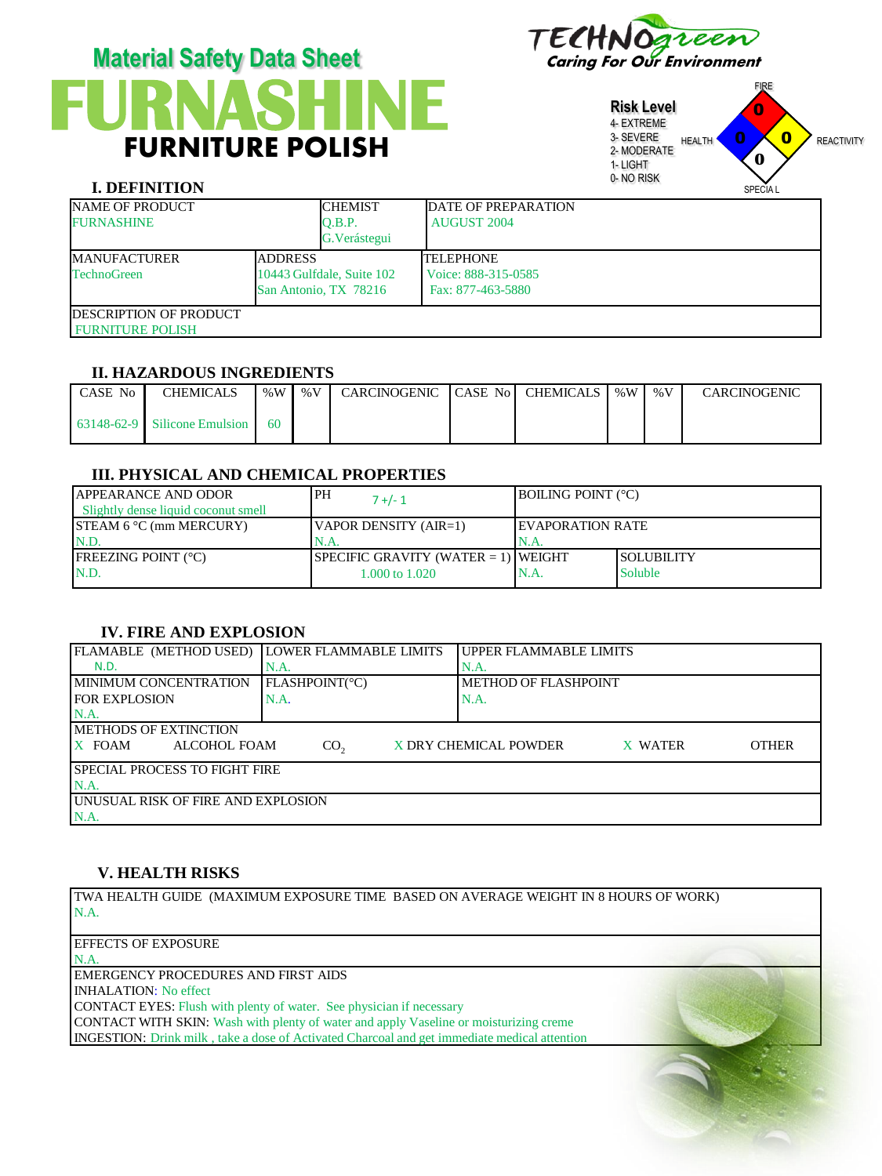

# **FURNASHINE** FURNITURE POLISH **Material Safety Data Sheet** TECHNOgreen

**Risk Level** 4- EXTREME 3- SEVERE 2- MODERATE 1- LIGHT 0- NO RISK FIRE HEALTH **U U REACTIVITY** SPECIA L 0 0  $\mathbf{0}$ **0**

# **I. DEFINITION**

| <b>NAME OF PRODUCT</b><br><b>FURNASHINE</b>                 |  | <b>CHEMIST</b><br>O.B.P.<br>G. Verástegui          | <b>DATE OF PREPARATION</b><br><b>AUGUST 2004</b>             |
|-------------------------------------------------------------|--|----------------------------------------------------|--------------------------------------------------------------|
| <b>ADDRESS</b><br><b>MANUFACTURER</b><br><b>TechnoGreen</b> |  | 10443 Gulfdale, Suite 102<br>San Antonio, TX 78216 | <b>TELEPHONE</b><br>Voice: 888-315-0585<br>Fax: 877-463-5880 |
| <b>IDESCRIPTION OF PRODUCT</b><br><b>FURNITURE POLISH</b>   |  |                                                    |                                                              |

#### **II. HAZARDOUS INGREDIENTS**

| l CASE No | <b>CHEMICALS</b>               | % W | % V | CARCINOGENIC CASE No CHEMICALS   %W |  | % $V$ | <b>CARCINOGENIC</b> |
|-----------|--------------------------------|-----|-----|-------------------------------------|--|-------|---------------------|
|           | $63148-62-9$ Silicone Emulsion | 60  |     |                                     |  |       |                     |

#### **III. PHYSICAL AND CHEMICAL PROPERTIES**

| <b>APPEARANCE AND ODOR</b><br>Slightly dense liquid coconut smell | <b>PH</b><br>$7 + 1$                   | <b>IBOILING POINT (°C)</b> |                    |
|-------------------------------------------------------------------|----------------------------------------|----------------------------|--------------------|
| <b>STEAM 6 °C</b> (mm MERCURY)                                    | VAPOR DENSITY $(AIR=1)$                | <b>IEVAPORATION RATE</b>   |                    |
| IN.D.                                                             | IN.A.                                  | 'N.A.                      |                    |
| <b>IFREEZING POINT (°C)</b>                                       | SPECIFIC GRAVITY (WATER $= 1$ ) WEIGHT |                            | <b>ISOLUBILITY</b> |
| N.D.                                                              | 1.000 to 1.020                         | N.A.                       | Soluble            |

# **IV. FIRE AND EXPLOSION**

| FLAMABLE (METHOD USED) LOWER FLAMMABLE LIMITS |                 | I UPPER FLAMMABLE LIMITS                         |  |  |  |  |
|-----------------------------------------------|-----------------|--------------------------------------------------|--|--|--|--|
| N.D.                                          | N.A.            | N.A.                                             |  |  |  |  |
| <b>IMINIMUM CONCENTRATION</b>                 | FLASHPOINT(°C)  | <b>METHOD OF FLASHPOINT</b>                      |  |  |  |  |
| <b>FOR EXPLOSION</b>                          | N.A.            | N.A.                                             |  |  |  |  |
| N.A                                           |                 |                                                  |  |  |  |  |
| <b>IMETHODS OF EXTINCTION</b>                 |                 |                                                  |  |  |  |  |
| $X$ FOAM<br>ALCOHOL FOAM                      | CO <sub>2</sub> | X DRY CHEMICAL POWDER<br><b>OTHER</b><br>X WATER |  |  |  |  |
| <b>ISPECIAL PROCESS TO FIGHT FIRE</b>         |                 |                                                  |  |  |  |  |
| $NA$ .                                        |                 |                                                  |  |  |  |  |
| <b>JUNUSUAL RISK OF FIRE AND EXPLOSION</b>    |                 |                                                  |  |  |  |  |
| N.A.                                          |                 |                                                  |  |  |  |  |

## **V. HEALTH RISKS**

TWA HEALTH GUIDE (MAXIMUM EXPOSURE TIME BASED ON AVERAGE WEIGHT IN 8 HOURS OF WORK) N.A.

EFFECTS OF EXPOSURE

N.A. EMERGENCY PROCEDURES AND FIRST AIDS INHALATION: No effect CONTACT EYES: Flush with plenty of water. See physician if necessary CONTACT WITH SKIN: Wash with plenty of water and apply Vaseline or moisturizing creme INGESTION: Drink milk , take a dose of Activated Charcoal and get immediate medical attention